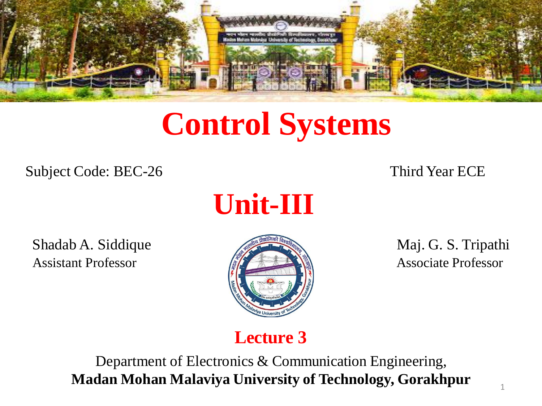

# **Control Systems**

Subject Code: BEC-26 Third Year ECE



Shadab A. Siddique Maj. G. S. Tripathi Assistant Professor **Associate Professor** Associate Professor



#### **Lecture 3**

Department of Electronics & Communication Engineering, **Madan Mohan Malaviya University of Technology, Gorakhpur**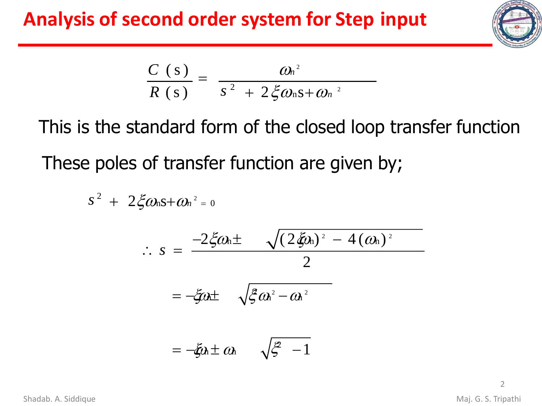# **Analysis of second order system for Step input**



$$
\frac{C(s)}{R(s)} = \frac{\omega_n^2}{s^2 + 2 \xi \omega_n s + \omega_n^2}
$$

This is the standard form of the closed loop transfer function These poles of transfer function are given by;

$$
s^{2} + 2\xi\omega_{n}s + \omega_{n}^{2} = 0
$$
  
\n
$$
\therefore s = \frac{-2\xi\omega_{n} \pm \sqrt{(2\xi\omega_{n})^{2} - 4(\omega_{n})^{2}}}{2}
$$
  
\n
$$
= -\xi\omega_{n} \pm \sqrt{\xi\omega_{n}^{2} - \omega_{n}^{2}}
$$
  
\n
$$
= -\xi\omega_{n} \pm \omega_{n} \sqrt{\xi - 1}
$$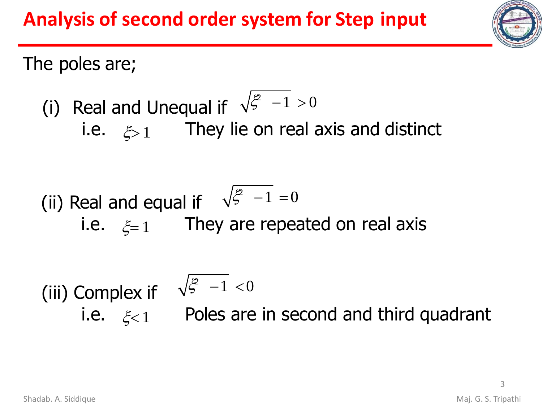

The poles are;

(i) Real and Unequal if 
$$
\sqrt{\xi^2 - 1} > 0
$$
  
is a  $\xi$  a. They lie on real axis are

I ney lie on real axis and distinct  $1 - 5$   $\zeta > 1$ 

(ii) Real and equal if 
$$
\sqrt{\xi^2 - 1} = 0
$$
  
i.e.  $\xi = 1$  They are repeated on real axis

(iii) Complex if i.e.  $\xi_{\leq 1}$  Poles are in second and third quadrant  $\frac{2}{5}$  -1 <0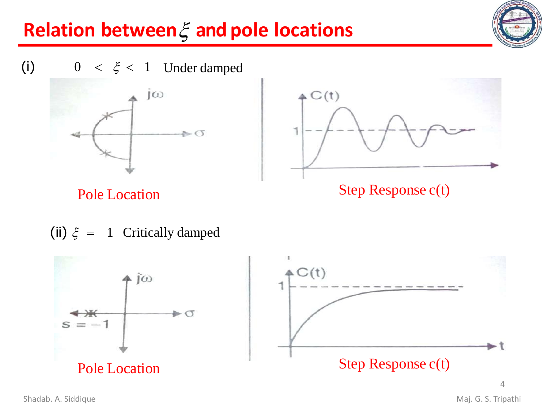







Pole Location Step Response c(t)

(ii)  $\xi = 1$  Critically damped

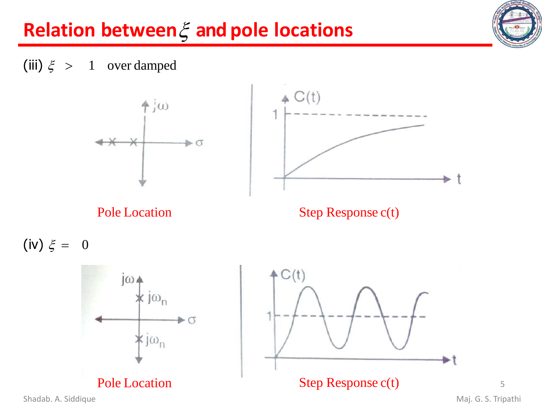

(iii)  $\xi > 1$  over damped





Pole Location Step Response c(t)

 $(iv) \xi = 0$ 





Shadab. A. Siddique **Maj. G. S. Tripathi**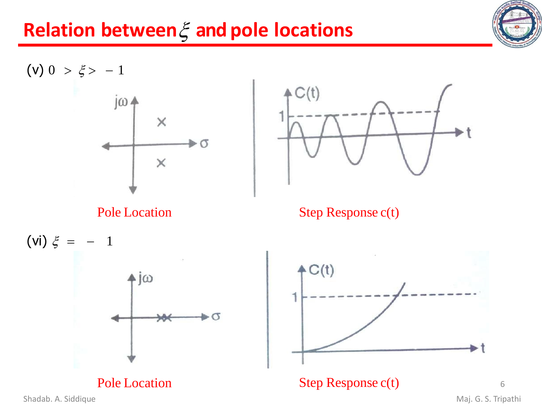





Pole Location Step Response c(t)





Pole Location Step Response c(t)

Shadab. A. Siddique **Maj. G. S. Tripathi**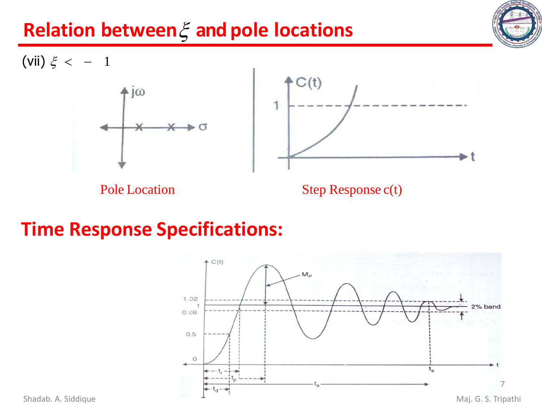



#### **Time Response Specifications:**

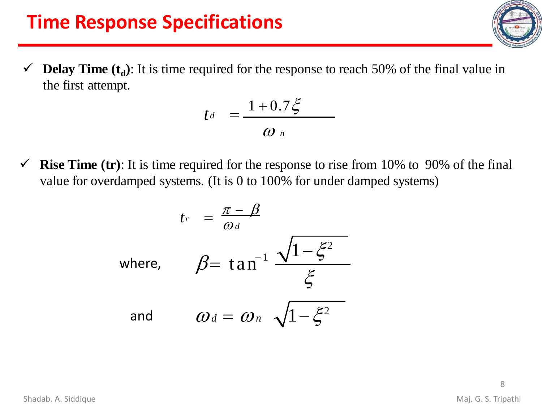## **Time Response Specifications**

 $\checkmark$  **Delay Time** ( $t_d$ ): It is time required for the response to reach 50% of the final value in the first attempt.

$$
t_{d} = \frac{1 + 0.7\xi}{\omega_n}
$$

 $\checkmark$  **Rise Time** (tr): It is time required for the response to rise from 10% to 90% of the final value for overdamped systems. (It is 0 to 100% for under damped systems)

$$
t_r = \frac{\pi - \beta}{\omega_d}
$$
  
where,  $\beta = \tan^{-1} \frac{\sqrt{1 - \xi^2}}{\xi}$   
and  $\omega_d = \omega_n \sqrt{1 - \xi^2}$ 

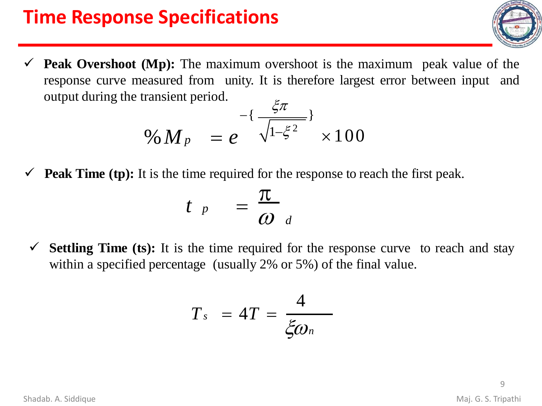# **Time Response Specifications**

 $\checkmark$  **Peak Overshoot** (Mp): The maximum overshoot is the maximum peak value of the response curve measured from unity. It is therefore largest error between input and output during the transient period.

$$
\begin{array}{r}\n\sqrt{5\pi} & -\{\frac{\xi}{\sqrt{1-\xi^2}}\} \\
\frac{\xi}{\sqrt{1-\xi^2}} & \times 100\n\end{array}
$$

 $\checkmark$  **Peak Time (tp):** It is the time required for the response to reach the first peak.

$$
t \left|_{p} \right| = \frac{\pi}{\omega_{d}}
$$

✓ **Settling Time (ts):** It is the time required for the response curve to reach and stay within a specified percentage (usually 2% or 5%) of the final value.

$$
T_s = 4T = \frac{4}{\xi \omega_n}
$$

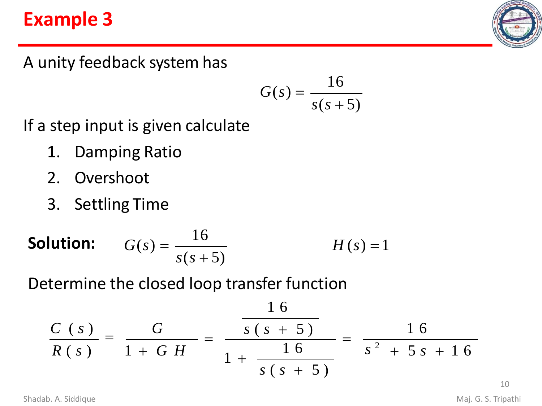## **Example 3**



A unity feedback system has

$$
G(s) = \frac{16}{s(s+5)}
$$

If a step input is given calculate

- 1. Damping Ratio
- 2. Overshoot
- 3. Settling Time

**Solution:** 
$$
G(s) = \frac{16}{s(s+5)}
$$
  $H(s) = 1$ 

Determine the closed loop transfer function

$$
\frac{C(s)}{R(s)} = \frac{G}{1+GH} = \frac{\frac{16}{s(s+5)}}{1+\frac{16}{s(s+5)}} = \frac{16}{s^2+5s+16}
$$

Shadab. A. Siddique **Maj. G. S. Tripathi**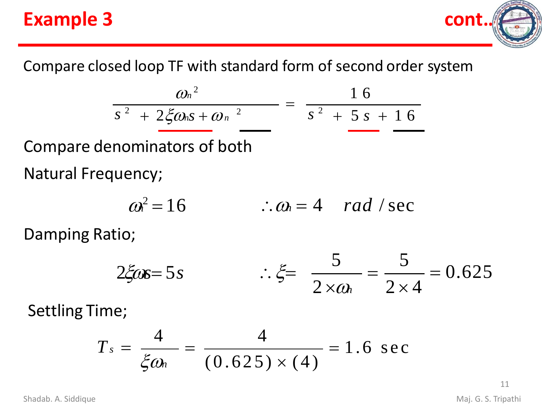# **Example 3 cont……**



Compare closed loop TF with standard form of second order system

$$
\frac{\omega_n^2}{s^2 + 2\zeta\omega_n s + \omega_n^2} = \frac{16}{s^2 + 5s + 16}
$$

Compare denominators of both Natural Frequency;

$$
\omega^2 = 16 \qquad \therefore \omega = 4 \quad rad \; / \; sec
$$

Damping Ratio;

$$
2\xi \omega s = 5s \qquad \qquad \therefore \xi = \frac{5}{2 \times \omega_b} = \frac{5}{2 \times 4} = 0.625
$$

Settling Time;

$$
T_s = \frac{4}{\xi \omega_n} = \frac{4}{(0.625) \times (4)} = 1.6 \text{ sec}
$$

11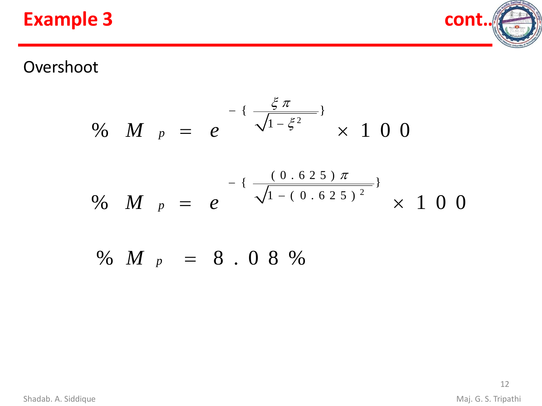#### **Example 3 cont**



#### Overshoot

$$
\% \quad M \quad p \quad = \quad e \quad \frac{\xi \, \pi}{\sqrt{1 - \xi^2}} \quad \times \quad 1 \quad 0 \quad 0
$$

$$
\% \quad M \quad p \quad = \quad e \quad \frac{(0.625) \, \pi}{\sqrt{1 - (0.625)^2}} \times \, 1 \, 0 \, 0
$$

% *M <sup>p</sup>* = 8 . 0 8 %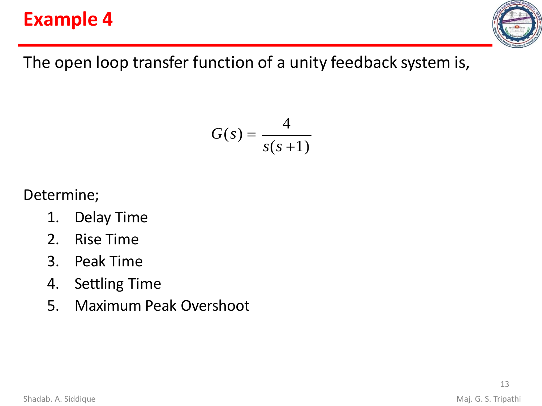## **Example 4**



The open loop transfer function of a unity feedback system is,

$$
G(s) = \frac{4}{s(s+1)}
$$

Determine;

- 1. Delay Time
- 2. Rise Time
- 3. Peak Time
- 4. Settling Time
- 5. Maximum Peak Overshoot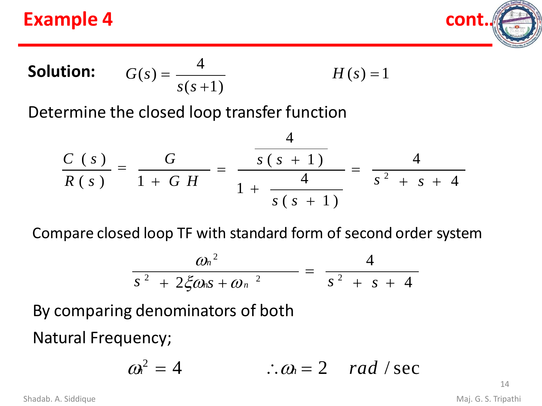#### **Example 4 contract 2**



**Solution:**  $G(s) = \frac{4}{s}$ *s*(*s* +1)  $H(s) = 1$ 

Determine the closed loop transfer function

$$
\frac{C(s)}{R(s)} = \frac{G}{1+GH} = \frac{\frac{4}{s(s+1)}}{1+\frac{4}{s(s+1)}} = \frac{4}{s^2+s+4}
$$

Compare closed loop TF with standard form of second order system

$$
\frac{\omega_n^2}{s^2 + 2\xi\omega_n s + \omega_n^2} = \frac{4}{s^2 + s + 4}
$$

By comparing denominators of both

Natural Frequency;

$$
\omega^2 = 4 \qquad \therefore \omega_0 = 2 \quad rad \; / \; sec
$$

14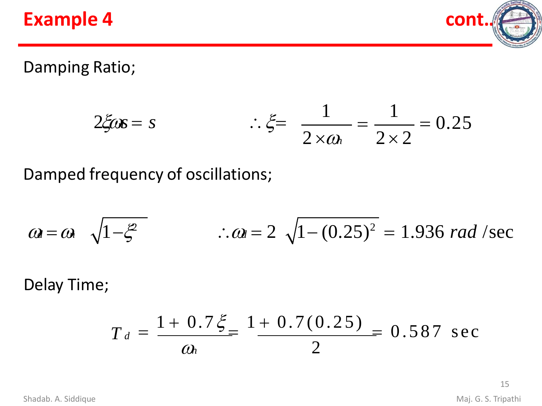#### **Example 4 cont**



Damping Ratio;

$$
2\xi \omega s = s
$$
  $\therefore \xi = \frac{1}{2 \times \omega_b} = \frac{1}{2 \times 2} = 0.25$ 

Damped frequency of oscillations;

$$
\omega = \omega
$$
  $\sqrt{1 - \xi^2}$   $\therefore \omega = 2 \sqrt{1 - (0.25)^2} = 1.936$  rad/sec

Delay Time;

$$
T_d = \frac{1 + 0.7\xi}{\omega_h} = \frac{1 + 0.7(0.25)}{2} = 0.587 \text{ sec}
$$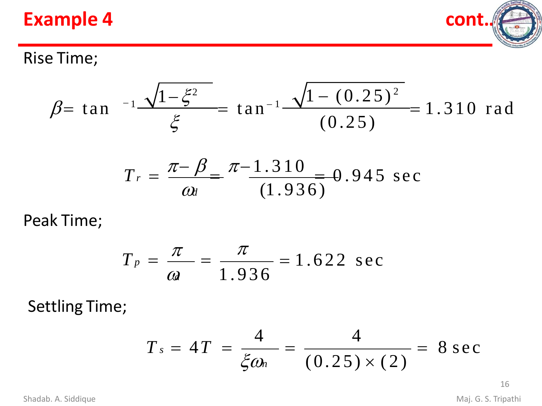#### **Example 4 cont**



#### Rise Time;

$$
\beta = \tan^{-1} \frac{\sqrt{1 - \xi^2}}{\xi} = \tan^{-1} \frac{\sqrt{1 - (0.25)^2}}{(0.25)} = 1.310 \text{ rad}
$$

$$
T_r = \frac{\pi - \beta}{\omega_t} = \frac{\pi - 1.310}{(1.936)} = 0.945 \text{ sec}
$$

Peak Time;

$$
T_p = \frac{\pi}{ca} = \frac{\pi}{1.936} = 1.622 \text{ sec}
$$

Settling Time;

$$
T_s = 4T = \frac{4}{\xi \omega_n} = \frac{4}{(0.25) \times (2)} = 8 \text{ sec}
$$

16